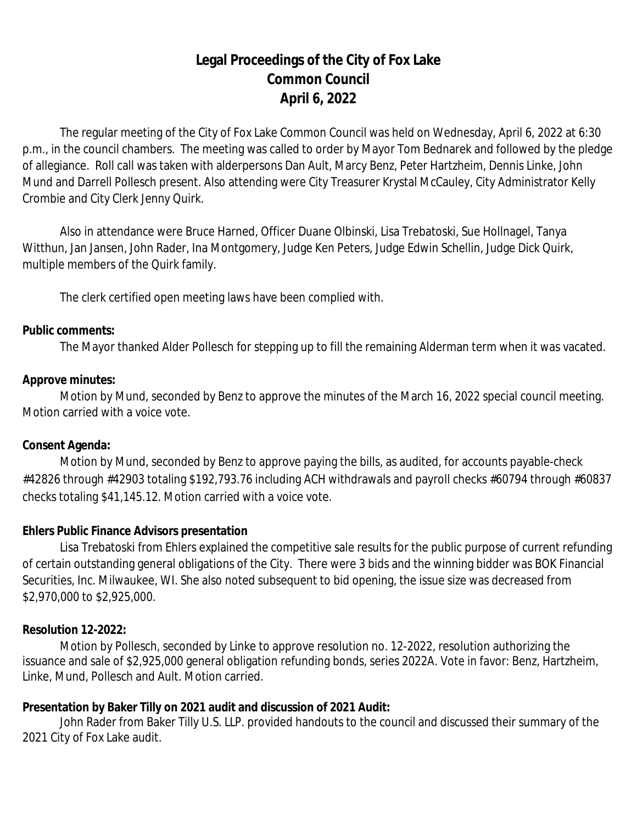# **Legal Proceedings of the City of Fox Lake Common Council April 6, 2022**

The regular meeting of the City of Fox Lake Common Council was held on Wednesday, April 6, 2022 at 6:30 p.m., in the council chambers. The meeting was called to order by Mayor Tom Bednarek and followed by the pledge of allegiance. Roll call was taken with alderpersons Dan Ault, Marcy Benz, Peter Hartzheim, Dennis Linke, John Mund and Darrell Pollesch present. Also attending were City Treasurer Krystal McCauley, City Administrator Kelly Crombie and City Clerk Jenny Quirk.

Also in attendance were Bruce Harned, Officer Duane Olbinski, Lisa Trebatoski, Sue Hollnagel, Tanya Witthun, Jan Jansen, John Rader, Ina Montgomery, Judge Ken Peters, Judge Edwin Schellin, Judge Dick Quirk, multiple members of the Quirk family.

The clerk certified open meeting laws have been complied with.

#### **Public comments:**

The Mayor thanked Alder Pollesch for stepping up to fill the remaining Alderman term when it was vacated.

#### **Approve minutes:**

Motion by Mund, seconded by Benz to approve the minutes of the March 16, 2022 special council meeting. Motion carried with a voice vote.

#### **Consent Agenda:**

Motion by Mund, seconded by Benz to approve paying the bills, as audited, for accounts payable-check #42826 through #42903 totaling \$192,793.76 including ACH withdrawals and payroll checks #60794 through #60837 checks totaling \$41,145.12. Motion carried with a voice vote.

#### **Ehlers Public Finance Advisors presentation**

Lisa Trebatoski from Ehlers explained the competitive sale results for the public purpose of current refunding of certain outstanding general obligations of the City. There were 3 bids and the winning bidder was BOK Financial Securities, Inc. Milwaukee, WI. She also noted subsequent to bid opening, the issue size was decreased from \$2,970,000 to \$2,925,000.

#### **Resolution 12-2022:**

Motion by Pollesch, seconded by Linke to approve resolution no. 12-2022, resolution authorizing the issuance and sale of \$2,925,000 general obligation refunding bonds, series 2022A. Vote in favor: Benz, Hartzheim, Linke, Mund, Pollesch and Ault. Motion carried.

#### **Presentation by Baker Tilly on 2021 audit and discussion of 2021 Audit:**

John Rader from Baker Tilly U.S. LLP. provided handouts to the council and discussed their summary of the 2021 City of Fox Lake audit.